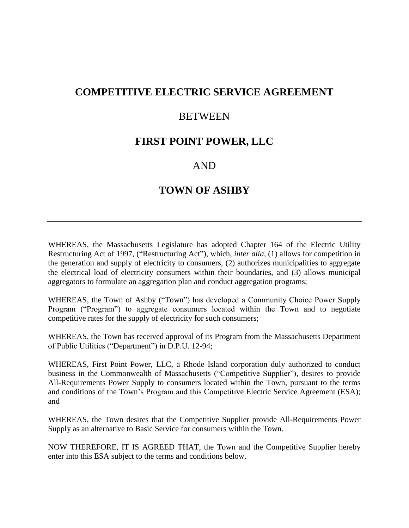# **COMPETITIVE ELECTRIC SERVICE AGREEMENT**

## **BETWEEN**

## **FIRST POINT POWER, LLC**

## AND

# **TOWN OF ASHBY**

WHEREAS, the Massachusetts Legislature has adopted Chapter 164 of the Electric Utility Restructuring Act of 1997, ("Restructuring Act"), which, *inter alia,* (1) allows for competition in the generation and supply of electricity to consumers, (2) authorizes municipalities to aggregate the electrical load of electricity consumers within their boundaries, and (3) allows municipal aggregators to formulate an aggregation plan and conduct aggregation programs;

WHEREAS, the Town of Ashby ("Town") has developed a Community Choice Power Supply Program ("Program") to aggregate consumers located within the Town and to negotiate competitive rates for the supply of electricity for such consumers;

WHEREAS, the Town has received approval of its Program from the Massachusetts Department of Public Utilities ("Department") in D.P.U. 12-94;

WHEREAS, First Point Power, LLC, a Rhode Island corporation duly authorized to conduct business in the Commonwealth of Massachusetts ("Competitive Supplier")*,* desires to provide All-Requirements Power Supply to consumers located within the Town, pursuant to the terms and conditions of the Town's Program and this Competitive Electric Service Agreement (ESA); and

WHEREAS, the Town desires that the Competitive Supplier provide All-Requirements Power Supply as an alternative to Basic Service for consumers within the Town.

NOW THEREFORE, IT IS AGREED THAT, the Town and the Competitive Supplier hereby enter into this ESA subject to the terms and conditions below.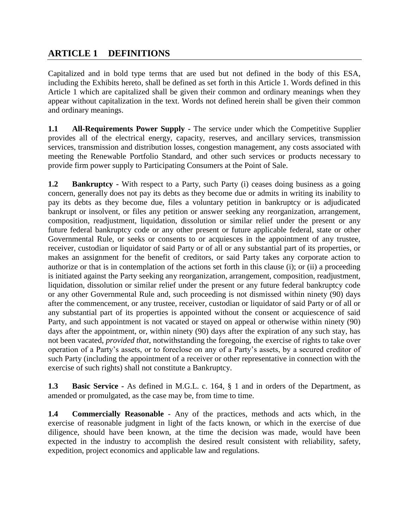## **ARTICLE 1 DEFINITIONS**

Capitalized and in bold type terms that are used but not defined in the body of this ESA, including the Exhibits hereto, shall be defined as set forth in this Article 1. Words defined in this Article 1 which are capitalized shall be given their common and ordinary meanings when they appear without capitalization in the text. Words not defined herein shall be given their common and ordinary meanings.

**1.1 All-Requirements Power Supply -** The service under which the Competitive Supplier provides all of the electrical energy, capacity, reserves, and ancillary services, transmission services, transmission and distribution losses, congestion management, any costs associated with meeting the Renewable Portfolio Standard, and other such services or products necessary to provide firm power supply to Participating Consumers at the Point of Sale.

**1.2 Bankruptcy** - With respect to a Party, such Party (i) ceases doing business as a going concern, generally does not pay its debts as they become due or admits in writing its inability to pay its debts as they become due, files a voluntary petition in bankruptcy or is adjudicated bankrupt or insolvent, or files any petition or answer seeking any reorganization, arrangement, composition, readjustment, liquidation, dissolution or similar relief under the present or any future federal bankruptcy code or any other present or future applicable federal, state or other Governmental Rule, or seeks or consents to or acquiesces in the appointment of any trustee, receiver, custodian or liquidator of said Party or of all or any substantial part of its properties, or makes an assignment for the benefit of creditors, or said Party takes any corporate action to authorize or that is in contemplation of the actions set forth in this clause (i); or (ii) a proceeding is initiated against the Party seeking any reorganization, arrangement, composition, readjustment, liquidation, dissolution or similar relief under the present or any future federal bankruptcy code or any other Governmental Rule and, such proceeding is not dismissed within ninety (90) days after the commencement, or any trustee, receiver, custodian or liquidator of said Party or of all or any substantial part of its properties is appointed without the consent or acquiescence of said Party, and such appointment is not vacated or stayed on appeal or otherwise within ninety (90) days after the appointment, or, within ninety (90) days after the expiration of any such stay, has not been vacated, *provided that*, notwithstanding the foregoing, the exercise of rights to take over operation of a Party's assets, or to foreclose on any of a Party's assets, by a secured creditor of such Party (including the appointment of a receiver or other representative in connection with the exercise of such rights) shall not constitute a Bankruptcy.

**1.3 Basic Service -** As defined in M.G.L. c. 164, § 1 and in orders of the Department, as amended or promulgated, as the case may be, from time to time.

**1.4 Commercially Reasonable** - Any of the practices, methods and acts which, in the exercise of reasonable judgment in light of the facts known, or which in the exercise of due diligence, should have been known, at the time the decision was made, would have been expected in the industry to accomplish the desired result consistent with reliability, safety, expedition, project economics and applicable law and regulations.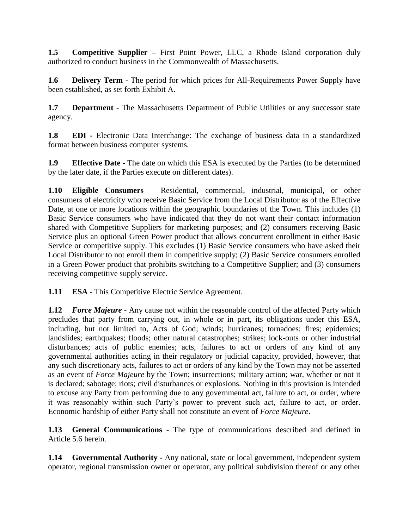**1.5 Competitive Supplier** – First Point Power, LLC, a Rhode Island corporation duly authorized to conduct business in the Commonwealth of Massachusetts.

**1.6 Delivery Term -** The period for which prices for All-Requirements Power Supply have been established, as set forth Exhibit A.

**1.7 Department** - The Massachusetts Department of Public Utilities or any successor state agency.

**1.8 EDI -** Electronic Data Interchange: The exchange of business data in a standardized format between business computer systems.

**1.9 Effective Date -** The date on which this ESA is executed by the Parties (to be determined by the later date, if the Parties execute on different dates).

**1.10 Eligible Consumers** – Residential, commercial, industrial, municipal, or other consumers of electricity who receive Basic Service from the Local Distributor as of the Effective Date, at one or more locations within the geographic boundaries of the Town. This includes (1) Basic Service consumers who have indicated that they do not want their contact information shared with Competitive Suppliers for marketing purposes; and (2) consumers receiving Basic Service plus an optional Green Power product that allows concurrent enrollment in either Basic Service or competitive supply. This excludes (1) Basic Service consumers who have asked their Local Distributor to not enroll them in competitive supply; (2) Basic Service consumers enrolled in a Green Power product that prohibits switching to a Competitive Supplier; and (3) consumers receiving competitive supply service.

**1.11 ESA -** This Competitive Electric Service Agreement.

**1.12** *Force Majeure* **-** Any cause not within the reasonable control of the affected Party which precludes that party from carrying out, in whole or in part, its obligations under this ESA, including, but not limited to, Acts of God; winds; hurricanes; tornadoes; fires; epidemics; landslides; earthquakes; floods; other natural catastrophes; strikes; lock-outs or other industrial disturbances; acts of public enemies; acts, failures to act or orders of any kind of any governmental authorities acting in their regulatory or judicial capacity, provided, however, that any such discretionary acts, failures to act or orders of any kind by the Town may not be asserted as an event of *Force Majeure* by the Town; insurrections; military action; war, whether or not it is declared; sabotage; riots; civil disturbances or explosions. Nothing in this provision is intended to excuse any Party from performing due to any governmental act, failure to act, or order, where it was reasonably within such Party's power to prevent such act, failure to act, or order. Economic hardship of either Party shall not constitute an event of *Force Majeure*.

**1.13 General Communications -** The type of communications described and defined in Article 5.6 herein.

**1.14 Governmental Authority -** Any national, state or local government, independent system operator, regional transmission owner or operator, any political subdivision thereof or any other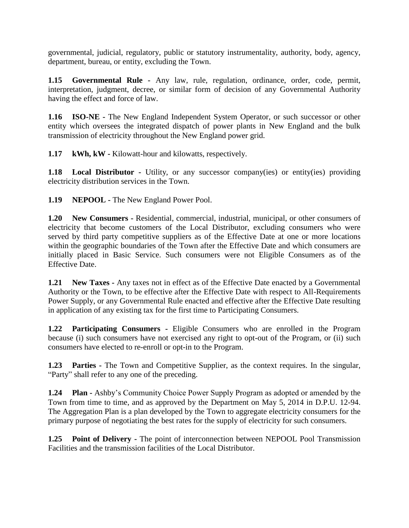governmental, judicial, regulatory, public or statutory instrumentality, authority, body, agency, department, bureau, or entity, excluding the Town.

**1.15 Governmental Rule -** Any law, rule, regulation, ordinance, order, code, permit, interpretation, judgment, decree, or similar form of decision of any Governmental Authority having the effect and force of law.

**1.16 ISO-NE -** The New England Independent System Operator, or such successor or other entity which oversees the integrated dispatch of power plants in New England and the bulk transmission of electricity throughout the New England power grid.

**1.17 kWh, kW -** Kilowatt-hour and kilowatts, respectively.

**1.18 Local Distributor** - Utility, or any successor company(ies) or entity(ies) providing electricity distribution services in the Town.

**1.19 NEPOOL -** The New England Power Pool.

**1.20 New Consumers -** Residential, commercial, industrial, municipal, or other consumers of electricity that become customers of the Local Distributor, excluding consumers who were served by third party competitive suppliers as of the Effective Date at one or more locations within the geographic boundaries of the Town after the Effective Date and which consumers are initially placed in Basic Service. Such consumers were not Eligible Consumers as of the Effective Date.

**1.21 New Taxes -** Any taxes not in effect as of the Effective Date enacted by a Governmental Authority or the Town, to be effective after the Effective Date with respect to All-Requirements Power Supply, or any Governmental Rule enacted and effective after the Effective Date resulting in application of any existing tax for the first time to Participating Consumers.

**1.22 Participating Consumers -** Eligible Consumers who are enrolled in the Program because (i) such consumers have not exercised any right to opt-out of the Program, or (ii) such consumers have elected to re-enroll or opt-in to the Program.

**1.23 Parties -** The Town and Competitive Supplier, as the context requires. In the singular, "Party" shall refer to any one of the preceding.

**1.24 Plan -** Ashby's Community Choice Power Supply Program as adopted or amended by the Town from time to time, and as approved by the Department on May 5, 2014 in D.P.U. 12-94. The Aggregation Plan is a plan developed by the Town to aggregate electricity consumers for the primary purpose of negotiating the best rates for the supply of electricity for such consumers.

**1.25 Point of Delivery -** The point of interconnection between NEPOOL Pool Transmission Facilities and the transmission facilities of the Local Distributor.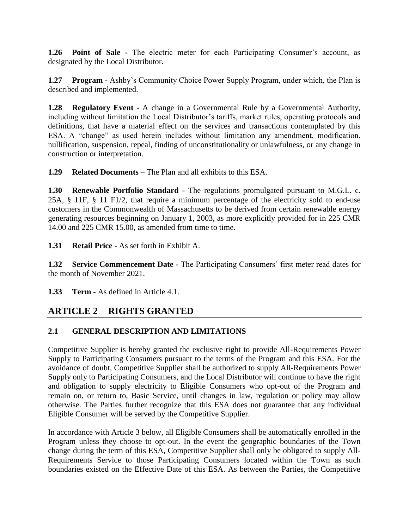**1.26 Point of Sale -** The electric meter for each Participating Consumer's account, as designated by the Local Distributor.

**1.27 Program -** Ashby's Community Choice Power Supply Program, under which, the Plan is described and implemented.

**1.28 Regulatory Event -** A change in a Governmental Rule by a Governmental Authority, including without limitation the Local Distributor's tariffs, market rules, operating protocols and definitions, that have a material effect on the services and transactions contemplated by this ESA. A "change" as used herein includes without limitation any amendment, modification, nullification, suspension, repeal, finding of unconstitutionality or unlawfulness, or any change in construction or interpretation.

**1.29 Related Documents** – The Plan and all exhibits to this ESA.

**1.30 Renewable Portfolio Standard** - The regulations promulgated pursuant to M.G.L. c. 25A, § 11F, § 11 F1/2, that require a minimum percentage of the electricity sold to end-use customers in the Commonwealth of Massachusetts to be derived from certain renewable energy generating resources beginning on January 1, 2003, as more explicitly provided for in 225 CMR 14.00 and 225 CMR 15.00, as amended from time to time.

**1.31 Retail Price -** As set forth in Exhibit A.

**1.32 Service Commencement Date -** The Participating Consumers' first meter read dates for the month of November 2021.

**1.33 Term -** As defined in Article 4.1.

# **ARTICLE 2 RIGHTS GRANTED**

## **2.1 GENERAL DESCRIPTION AND LIMITATIONS**

Competitive Supplier is hereby granted the exclusive right to provide All-Requirements Power Supply to Participating Consumers pursuant to the terms of the Program and this ESA. For the avoidance of doubt, Competitive Supplier shall be authorized to supply All-Requirements Power Supply only to Participating Consumers, and the Local Distributor will continue to have the right and obligation to supply electricity to Eligible Consumers who opt-out of the Program and remain on, or return to, Basic Service, until changes in law, regulation or policy may allow otherwise. The Parties further recognize that this ESA does not guarantee that any individual Eligible Consumer will be served by the Competitive Supplier.

In accordance with Article 3 below, all Eligible Consumers shall be automatically enrolled in the Program unless they choose to opt-out. In the event the geographic boundaries of the Town change during the term of this ESA, Competitive Supplier shall only be obligated to supply All-Requirements Service to those Participating Consumers located within the Town as such boundaries existed on the Effective Date of this ESA. As between the Parties, the Competitive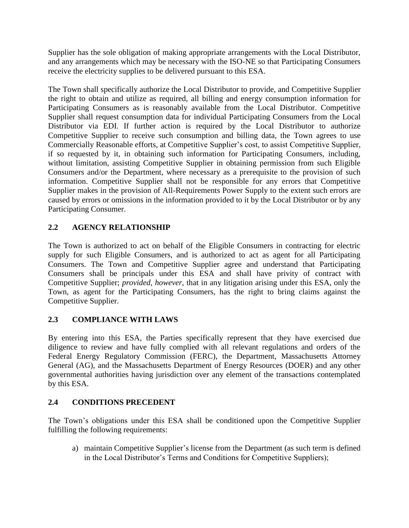Supplier has the sole obligation of making appropriate arrangements with the Local Distributor, and any arrangements which may be necessary with the ISO-NE so that Participating Consumers receive the electricity supplies to be delivered pursuant to this ESA.

The Town shall specifically authorize the Local Distributor to provide, and Competitive Supplier the right to obtain and utilize as required, all billing and energy consumption information for Participating Consumers as is reasonably available from the Local Distributor. Competitive Supplier shall request consumption data for individual Participating Consumers from the Local Distributor via EDI. If further action is required by the Local Distributor to authorize Competitive Supplier to receive such consumption and billing data, the Town agrees to use Commercially Reasonable efforts, at Competitive Supplier's cost, to assist Competitive Supplier, if so requested by it, in obtaining such information for Participating Consumers, including, without limitation, assisting Competitive Supplier in obtaining permission from such Eligible Consumers and/or the Department, where necessary as a prerequisite to the provision of such information. Competitive Supplier shall not be responsible for any errors that Competitive Supplier makes in the provision of All-Requirements Power Supply to the extent such errors are caused by errors or omissions in the information provided to it by the Local Distributor or by any Participating Consumer.

## **2.2 AGENCY RELATIONSHIP**

The Town is authorized to act on behalf of the Eligible Consumers in contracting for electric supply for such Eligible Consumers, and is authorized to act as agent for all Participating Consumers. The Town and Competitive Supplier agree and understand that Participating Consumers shall be principals under this ESA and shall have privity of contract with Competitive Supplier; *provided, however*, that in any litigation arising under this ESA, only the Town, as agent for the Participating Consumers, has the right to bring claims against the Competitive Supplier.

## **2.3 COMPLIANCE WITH LAWS**

By entering into this ESA, the Parties specifically represent that they have exercised due diligence to review and have fully complied with all relevant regulations and orders of the Federal Energy Regulatory Commission (FERC), the Department, Massachusetts Attorney General (AG), and the Massachusetts Department of Energy Resources (DOER) and any other governmental authorities having jurisdiction over any element of the transactions contemplated by this ESA.

## **2.4 CONDITIONS PRECEDENT**

The Town's obligations under this ESA shall be conditioned upon the Competitive Supplier fulfilling the following requirements:

a) maintain Competitive Supplier's license from the Department (as such term is defined in the Local Distributor's Terms and Conditions for Competitive Suppliers);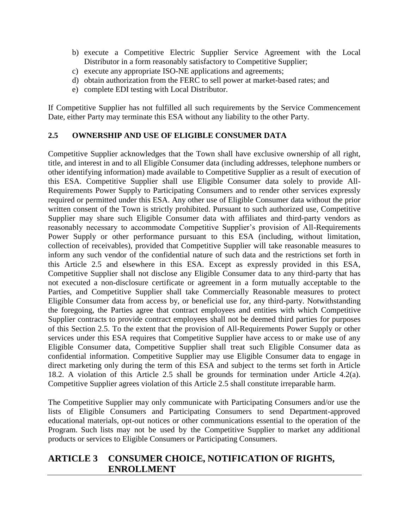- b) execute a Competitive Electric Supplier Service Agreement with the Local Distributor in a form reasonably satisfactory to Competitive Supplier;
- c) execute any appropriate ISO-NE applications and agreements;
- d) obtain authorization from the FERC to sell power at market-based rates; and
- e) complete EDI testing with Local Distributor.

If Competitive Supplier has not fulfilled all such requirements by the Service Commencement Date, either Party may terminate this ESA without any liability to the other Party.

### **2.5 OWNERSHIP AND USE OF ELIGIBLE CONSUMER DATA**

Competitive Supplier acknowledges that the Town shall have exclusive ownership of all right, title, and interest in and to all Eligible Consumer data (including addresses, telephone numbers or other identifying information) made available to Competitive Supplier as a result of execution of this ESA. Competitive Supplier shall use Eligible Consumer data solely to provide All-Requirements Power Supply to Participating Consumers and to render other services expressly required or permitted under this ESA. Any other use of Eligible Consumer data without the prior written consent of the Town is strictly prohibited. Pursuant to such authorized use, Competitive Supplier may share such Eligible Consumer data with affiliates and third-party vendors as reasonably necessary to accommodate Competitive Supplier's provision of All-Requirements Power Supply or other performance pursuant to this ESA (including, without limitation, collection of receivables), provided that Competitive Supplier will take reasonable measures to inform any such vendor of the confidential nature of such data and the restrictions set forth in this Article 2.5 and elsewhere in this ESA. Except as expressly provided in this ESA, Competitive Supplier shall not disclose any Eligible Consumer data to any third-party that has not executed a non-disclosure certificate or agreement in a form mutually acceptable to the Parties, and Competitive Supplier shall take Commercially Reasonable measures to protect Eligible Consumer data from access by, or beneficial use for, any third-party. Notwithstanding the foregoing, the Parties agree that contract employees and entities with which Competitive Supplier contracts to provide contract employees shall not be deemed third parties for purposes of this Section 2.5. To the extent that the provision of All-Requirements Power Supply or other services under this ESA requires that Competitive Supplier have access to or make use of any Eligible Consumer data, Competitive Supplier shall treat such Eligible Consumer data as confidential information. Competitive Supplier may use Eligible Consumer data to engage in direct marketing only during the term of this ESA and subject to the terms set forth in Article 18.2. A violation of this Article 2.5 shall be grounds for termination under Article 4.2(a). Competitive Supplier agrees violation of this Article 2.5 shall constitute irreparable harm.

The Competitive Supplier may only communicate with Participating Consumers and/or use the lists of Eligible Consumers and Participating Consumers to send Department-approved educational materials, opt-out notices or other communications essential to the operation of the Program. Such lists may not be used by the Competitive Supplier to market any additional products or services to Eligible Consumers or Participating Consumers.

## **ARTICLE 3 CONSUMER CHOICE, NOTIFICATION OF RIGHTS, ENROLLMENT**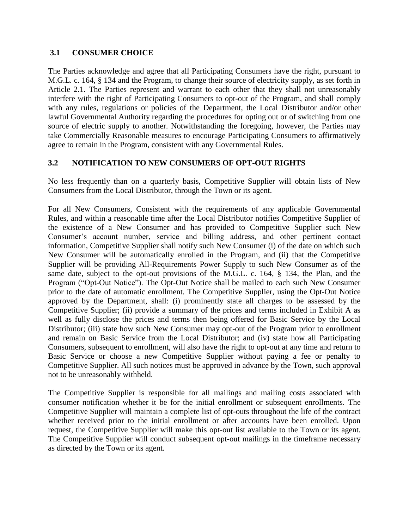#### **3.1 CONSUMER CHOICE**

The Parties acknowledge and agree that all Participating Consumers have the right, pursuant to M.G.L. c. 164, § 134 and the Program, to change their source of electricity supply, as set forth in Article 2.1. The Parties represent and warrant to each other that they shall not unreasonably interfere with the right of Participating Consumers to opt-out of the Program, and shall comply with any rules, regulations or policies of the Department, the Local Distributor and/or other lawful Governmental Authority regarding the procedures for opting out or of switching from one source of electric supply to another. Notwithstanding the foregoing, however, the Parties may take Commercially Reasonable measures to encourage Participating Consumers to affirmatively agree to remain in the Program, consistent with any Governmental Rules.

### **3.2 NOTIFICATION TO NEW CONSUMERS OF OPT-OUT RIGHTS**

No less frequently than on a quarterly basis, Competitive Supplier will obtain lists of New Consumers from the Local Distributor, through the Town or its agent.

For all New Consumers, Consistent with the requirements of any applicable Governmental Rules, and within a reasonable time after the Local Distributor notifies Competitive Supplier of the existence of a New Consumer and has provided to Competitive Supplier such New Consumer's account number, service and billing address, and other pertinent contact information, Competitive Supplier shall notify such New Consumer (i) of the date on which such New Consumer will be automatically enrolled in the Program, and (ii) that the Competitive Supplier will be providing All-Requirements Power Supply to such New Consumer as of the same date, subject to the opt-out provisions of the M.G.L. c. 164, § 134, the Plan, and the Program ("Opt-Out Notice"). The Opt-Out Notice shall be mailed to each such New Consumer prior to the date of automatic enrollment. The Competitive Supplier, using the Opt-Out Notice approved by the Department, shall: (i) prominently state all charges to be assessed by the Competitive Supplier; (ii) provide a summary of the prices and terms included in Exhibit A as well as fully disclose the prices and terms then being offered for Basic Service by the Local Distributor; (iii) state how such New Consumer may opt-out of the Program prior to enrollment and remain on Basic Service from the Local Distributor; and (iv) state how all Participating Consumers, subsequent to enrollment, will also have the right to opt-out at any time and return to Basic Service or choose a new Competitive Supplier without paying a fee or penalty to Competitive Supplier. All such notices must be approved in advance by the Town, such approval not to be unreasonably withheld.

The Competitive Supplier is responsible for all mailings and mailing costs associated with consumer notification whether it be for the initial enrollment or subsequent enrollments. The Competitive Supplier will maintain a complete list of opt-outs throughout the life of the contract whether received prior to the initial enrollment or after accounts have been enrolled. Upon request, the Competitive Supplier will make this opt-out list available to the Town or its agent. The Competitive Supplier will conduct subsequent opt-out mailings in the timeframe necessary as directed by the Town or its agent.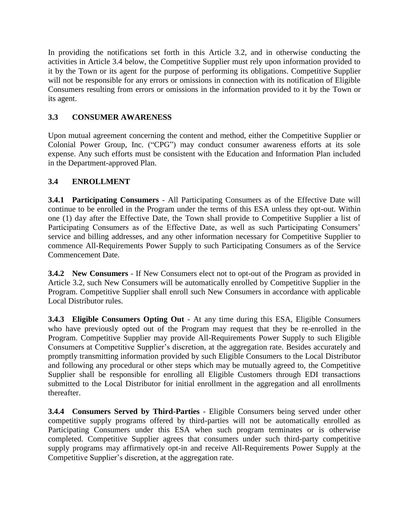In providing the notifications set forth in this Article 3.2, and in otherwise conducting the activities in Article 3.4 below, the Competitive Supplier must rely upon information provided to it by the Town or its agent for the purpose of performing its obligations. Competitive Supplier will not be responsible for any errors or omissions in connection with its notification of Eligible Consumers resulting from errors or omissions in the information provided to it by the Town or its agent.

## **3.3 CONSUMER AWARENESS**

Upon mutual agreement concerning the content and method, either the Competitive Supplier or Colonial Power Group, Inc. ("CPG") may conduct consumer awareness efforts at its sole expense. Any such efforts must be consistent with the Education and Information Plan included in the Department-approved Plan.

## **3.4 ENROLLMENT**

**3.4.1 Participating Consumers** - All Participating Consumers as of the Effective Date will continue to be enrolled in the Program under the terms of this ESA unless they opt-out. Within one (1) day after the Effective Date, the Town shall provide to Competitive Supplier a list of Participating Consumers as of the Effective Date, as well as such Participating Consumers' service and billing addresses, and any other information necessary for Competitive Supplier to commence All-Requirements Power Supply to such Participating Consumers as of the Service Commencement Date.

**3.4.2 New Consumers** - If New Consumers elect not to opt-out of the Program as provided in Article 3.2, such New Consumers will be automatically enrolled by Competitive Supplier in the Program. Competitive Supplier shall enroll such New Consumers in accordance with applicable Local Distributor rules.

**3.4.3 Eligible Consumers Opting Out** - At any time during this ESA, Eligible Consumers who have previously opted out of the Program may request that they be re-enrolled in the Program. Competitive Supplier may provide All-Requirements Power Supply to such Eligible Consumers at Competitive Supplier's discretion, at the aggregation rate. Besides accurately and promptly transmitting information provided by such Eligible Consumers to the Local Distributor and following any procedural or other steps which may be mutually agreed to, the Competitive Supplier shall be responsible for enrolling all Eligible Customers through EDI transactions submitted to the Local Distributor for initial enrollment in the aggregation and all enrollments thereafter.

**3.4.4 Consumers Served by Third-Parties** - Eligible Consumers being served under other competitive supply programs offered by third-parties will not be automatically enrolled as Participating Consumers under this ESA when such program terminates or is otherwise completed. Competitive Supplier agrees that consumers under such third-party competitive supply programs may affirmatively opt-in and receive All-Requirements Power Supply at the Competitive Supplier's discretion, at the aggregation rate.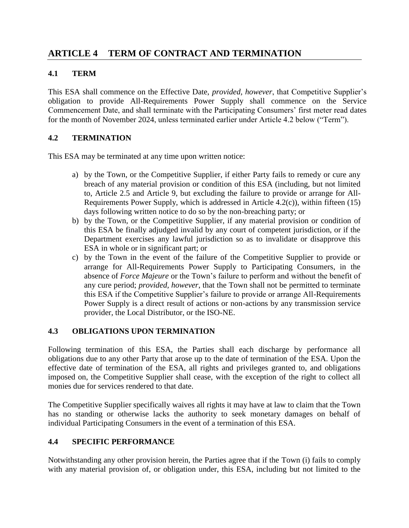## **ARTICLE 4 TERM OF CONTRACT AND TERMINATION**

### **4.1 TERM**

This ESA shall commence on the Effective Date, *provided, however*, that Competitive Supplier's obligation to provide All-Requirements Power Supply shall commence on the Service Commencement Date, and shall terminate with the Participating Consumers' first meter read dates for the month of November 2024, unless terminated earlier under Article 4.2 below ("Term").

### **4.2 TERMINATION**

This ESA may be terminated at any time upon written notice:

- a) by the Town, or the Competitive Supplier, if either Party fails to remedy or cure any breach of any material provision or condition of this ESA (including, but not limited to, Article 2.5 and Article 9, but excluding the failure to provide or arrange for All-Requirements Power Supply, which is addressed in Article 4.2(c)), within fifteen (15) days following written notice to do so by the non-breaching party; or
- b) by the Town, or the Competitive Supplier, if any material provision or condition of this ESA be finally adjudged invalid by any court of competent jurisdiction, or if the Department exercises any lawful jurisdiction so as to invalidate or disapprove this ESA in whole or in significant part; or
- c) by the Town in the event of the failure of the Competitive Supplier to provide or arrange for All-Requirements Power Supply to Participating Consumers, in the absence of *Force Majeure* or the Town's failure to perform and without the benefit of any cure period; *provided, however*, that the Town shall not be permitted to terminate this ESA if the Competitive Supplier's failure to provide or arrange All-Requirements Power Supply is a direct result of actions or non-actions by any transmission service provider, the Local Distributor, or the ISO-NE.

## **4.3 OBLIGATIONS UPON TERMINATION**

Following termination of this ESA, the Parties shall each discharge by performance all obligations due to any other Party that arose up to the date of termination of the ESA. Upon the effective date of termination of the ESA, all rights and privileges granted to, and obligations imposed on, the Competitive Supplier shall cease, with the exception of the right to collect all monies due for services rendered to that date.

The Competitive Supplier specifically waives all rights it may have at law to claim that the Town has no standing or otherwise lacks the authority to seek monetary damages on behalf of individual Participating Consumers in the event of a termination of this ESA.

### **4.4 SPECIFIC PERFORMANCE**

Notwithstanding any other provision herein, the Parties agree that if the Town (i) fails to comply with any material provision of, or obligation under, this ESA, including but not limited to the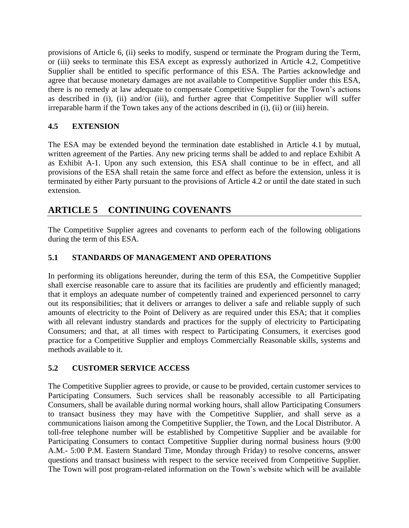provisions of Article 6, (ii) seeks to modify, suspend or terminate the Program during the Term, or (iii) seeks to terminate this ESA except as expressly authorized in Article 4.2, Competitive Supplier shall be entitled to specific performance of this ESA. The Parties acknowledge and agree that because monetary damages are not available to Competitive Supplier under this ESA, there is no remedy at law adequate to compensate Competitive Supplier for the Town's actions as described in (i), (ii) and/or (iii), and further agree that Competitive Supplier will suffer irreparable harm if the Town takes any of the actions described in (i), (ii) or (iii) herein.

### **4.5 EXTENSION**

The ESA may be extended beyond the termination date established in Article 4.1 by mutual, written agreement of the Parties. Any new pricing terms shall be added to and replace Exhibit A as Exhibit A-1. Upon any such extension, this ESA shall continue to be in effect, and all provisions of the ESA shall retain the same force and effect as before the extension, unless it is terminated by either Party pursuant to the provisions of Article 4.2 or until the date stated in such extension.

## **ARTICLE 5 CONTINUING COVENANTS**

The Competitive Supplier agrees and covenants to perform each of the following obligations during the term of this ESA.

### **5.1 STANDARDS OF MANAGEMENT AND OPERATIONS**

In performing its obligations hereunder, during the term of this ESA, the Competitive Supplier shall exercise reasonable care to assure that its facilities are prudently and efficiently managed; that it employs an adequate number of competently trained and experienced personnel to carry out its responsibilities; that it delivers or arranges to deliver a safe and reliable supply of such amounts of electricity to the Point of Delivery as are required under this ESA; that it complies with all relevant industry standards and practices for the supply of electricity to Participating Consumers; and that, at all times with respect to Participating Consumers, it exercises good practice for a Competitive Supplier and employs Commercially Reasonable skills, systems and methods available to it.

### **5.2 CUSTOMER SERVICE ACCESS**

The Competitive Supplier agrees to provide, or cause to be provided, certain customer services to Participating Consumers. Such services shall be reasonably accessible to all Participating Consumers, shall be available during normal working hours, shall allow Participating Consumers to transact business they may have with the Competitive Supplier, and shall serve as a communications liaison among the Competitive Supplier, the Town, and the Local Distributor. A toll-free telephone number will be established by Competitive Supplier and be available for Participating Consumers to contact Competitive Supplier during normal business hours (9:00) A.M.- 5:00 P.M. Eastern Standard Time, Monday through Friday) to resolve concerns, answer questions and transact business with respect to the service received from Competitive Supplier. The Town will post program-related information on the Town's website which will be available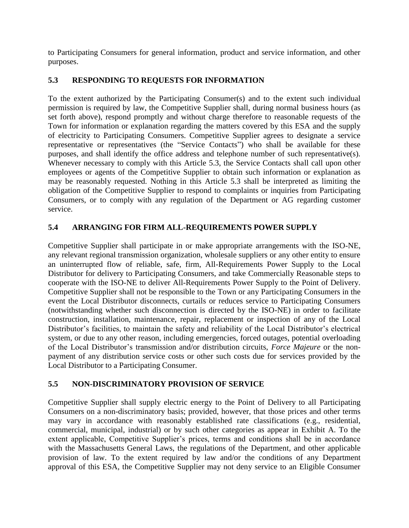to Participating Consumers for general information, product and service information, and other purposes.

## **5.3 RESPONDING TO REQUESTS FOR INFORMATION**

To the extent authorized by the Participating Consumer(s) and to the extent such individual permission is required by law, the Competitive Supplier shall, during normal business hours (as set forth above), respond promptly and without charge therefore to reasonable requests of the Town for information or explanation regarding the matters covered by this ESA and the supply of electricity to Participating Consumers. Competitive Supplier agrees to designate a service representative or representatives (the "Service Contacts") who shall be available for these purposes, and shall identify the office address and telephone number of such representative(s). Whenever necessary to comply with this Article 5.3, the Service Contacts shall call upon other employees or agents of the Competitive Supplier to obtain such information or explanation as may be reasonably requested. Nothing in this Article 5.3 shall be interpreted as limiting the obligation of the Competitive Supplier to respond to complaints or inquiries from Participating Consumers, or to comply with any regulation of the Department or AG regarding customer service.

## **5.4 ARRANGING FOR FIRM ALL-REQUIREMENTS POWER SUPPLY**

Competitive Supplier shall participate in or make appropriate arrangements with the ISO-NE, any relevant regional transmission organization, wholesale suppliers or any other entity to ensure an uninterrupted flow of reliable, safe, firm, All-Requirements Power Supply to the Local Distributor for delivery to Participating Consumers, and take Commercially Reasonable steps to cooperate with the ISO-NE to deliver All-Requirements Power Supply to the Point of Delivery. Competitive Supplier shall not be responsible to the Town or any Participating Consumers in the event the Local Distributor disconnects, curtails or reduces service to Participating Consumers (notwithstanding whether such disconnection is directed by the ISO-NE) in order to facilitate construction, installation, maintenance, repair, replacement or inspection of any of the Local Distributor's facilities, to maintain the safety and reliability of the Local Distributor's electrical system, or due to any other reason, including emergencies, forced outages, potential overloading of the Local Distributor's transmission and/or distribution circuits, *Force Majeure* or the nonpayment of any distribution service costs or other such costs due for services provided by the Local Distributor to a Participating Consumer.

## **5.5 NON-DISCRIMINATORY PROVISION OF SERVICE**

Competitive Supplier shall supply electric energy to the Point of Delivery to all Participating Consumers on a non-discriminatory basis; provided, however, that those prices and other terms may vary in accordance with reasonably established rate classifications (e.g., residential, commercial, municipal, industrial) or by such other categories as appear in Exhibit A. To the extent applicable, Competitive Supplier's prices, terms and conditions shall be in accordance with the Massachusetts General Laws, the regulations of the Department, and other applicable provision of law. To the extent required by law and/or the conditions of any Department approval of this ESA, the Competitive Supplier may not deny service to an Eligible Consumer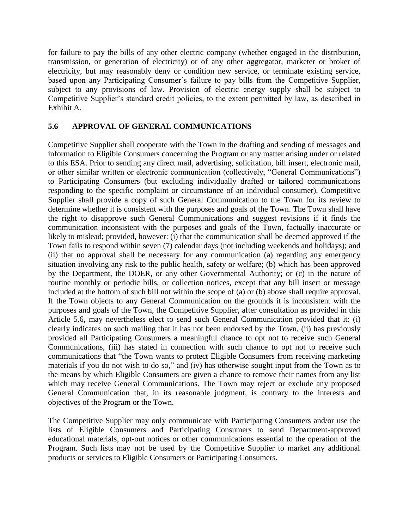for failure to pay the bills of any other electric company (whether engaged in the distribution, transmission, or generation of electricity) or of any other aggregator, marketer or broker of electricity, but may reasonably deny or condition new service, or terminate existing service, based upon any Participating Consumer's failure to pay bills from the Competitive Supplier, subject to any provisions of law. Provision of electric energy supply shall be subject to Competitive Supplier's standard credit policies, to the extent permitted by law, as described in Exhibit A.

### **5.6 APPROVAL OF GENERAL COMMUNICATIONS**

Competitive Supplier shall cooperate with the Town in the drafting and sending of messages and information to Eligible Consumers concerning the Program or any matter arising under or related to this ESA. Prior to sending any direct mail, advertising, solicitation, bill insert, electronic mail, or other similar written or electronic communication (collectively, "General Communications") to Participating Consumers (but excluding individually drafted or tailored communications responding to the specific complaint or circumstance of an individual consumer), Competitive Supplier shall provide a copy of such General Communication to the Town for its review to determine whether it is consistent with the purposes and goals of the Town. The Town shall have the right to disapprove such General Communications and suggest revisions if it finds the communication inconsistent with the purposes and goals of the Town, factually inaccurate or likely to mislead; provided, however: (i) that the communication shall be deemed approved if the Town fails to respond within seven (7) calendar days (not including weekends and holidays); and (ii) that no approval shall be necessary for any communication (a) regarding any emergency situation involving any risk to the public health, safety or welfare; (b) which has been approved by the Department, the DOER, or any other Governmental Authority; or (c) in the nature of routine monthly or periodic bills, or collection notices, except that any bill insert or message included at the bottom of such bill not within the scope of (a) or (b) above shall require approval. If the Town objects to any General Communication on the grounds it is inconsistent with the purposes and goals of the Town, the Competitive Supplier, after consultation as provided in this Article 5.6, may nevertheless elect to send such General Communication provided that it: (i) clearly indicates on such mailing that it has not been endorsed by the Town, (ii) has previously provided all Participating Consumers a meaningful chance to opt not to receive such General Communications, (iii) has stated in connection with such chance to opt not to receive such communications that "the Town wants to protect Eligible Consumers from receiving marketing materials if you do not wish to do so," and (iv) has otherwise sought input from the Town as to the means by which Eligible Consumers are given a chance to remove their names from any list which may receive General Communications. The Town may reject or exclude any proposed General Communication that, in its reasonable judgment, is contrary to the interests and objectives of the Program or the Town.

The Competitive Supplier may only communicate with Participating Consumers and/or use the lists of Eligible Consumers and Participating Consumers to send Department-approved educational materials, opt-out notices or other communications essential to the operation of the Program. Such lists may not be used by the Competitive Supplier to market any additional products or services to Eligible Consumers or Participating Consumers.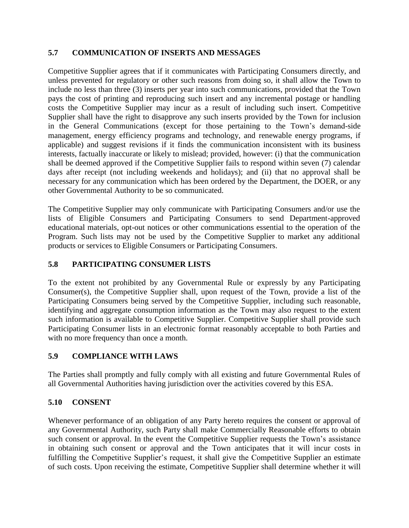### **5.7 COMMUNICATION OF INSERTS AND MESSAGES**

Competitive Supplier agrees that if it communicates with Participating Consumers directly, and unless prevented for regulatory or other such reasons from doing so, it shall allow the Town to include no less than three (3) inserts per year into such communications, provided that the Town pays the cost of printing and reproducing such insert and any incremental postage or handling costs the Competitive Supplier may incur as a result of including such insert. Competitive Supplier shall have the right to disapprove any such inserts provided by the Town for inclusion in the General Communications (except for those pertaining to the Town's demand-side management, energy efficiency programs and technology, and renewable energy programs, if applicable) and suggest revisions if it finds the communication inconsistent with its business interests, factually inaccurate or likely to mislead; provided, however: (i) that the communication shall be deemed approved if the Competitive Supplier fails to respond within seven (7) calendar days after receipt (not including weekends and holidays); and (ii) that no approval shall be necessary for any communication which has been ordered by the Department, the DOER, or any other Governmental Authority to be so communicated.

The Competitive Supplier may only communicate with Participating Consumers and/or use the lists of Eligible Consumers and Participating Consumers to send Department-approved educational materials, opt-out notices or other communications essential to the operation of the Program. Such lists may not be used by the Competitive Supplier to market any additional products or services to Eligible Consumers or Participating Consumers.

## **5.8 PARTICIPATING CONSUMER LISTS**

To the extent not prohibited by any Governmental Rule or expressly by any Participating Consumer(s), the Competitive Supplier shall, upon request of the Town, provide a list of the Participating Consumers being served by the Competitive Supplier, including such reasonable, identifying and aggregate consumption information as the Town may also request to the extent such information is available to Competitive Supplier. Competitive Supplier shall provide such Participating Consumer lists in an electronic format reasonably acceptable to both Parties and with no more frequency than once a month.

### **5.9 COMPLIANCE WITH LAWS**

The Parties shall promptly and fully comply with all existing and future Governmental Rules of all Governmental Authorities having jurisdiction over the activities covered by this ESA.

## **5.10 CONSENT**

Whenever performance of an obligation of any Party hereto requires the consent or approval of any Governmental Authority, such Party shall make Commercially Reasonable efforts to obtain such consent or approval. In the event the Competitive Supplier requests the Town's assistance in obtaining such consent or approval and the Town anticipates that it will incur costs in fulfilling the Competitive Supplier's request, it shall give the Competitive Supplier an estimate of such costs. Upon receiving the estimate, Competitive Supplier shall determine whether it will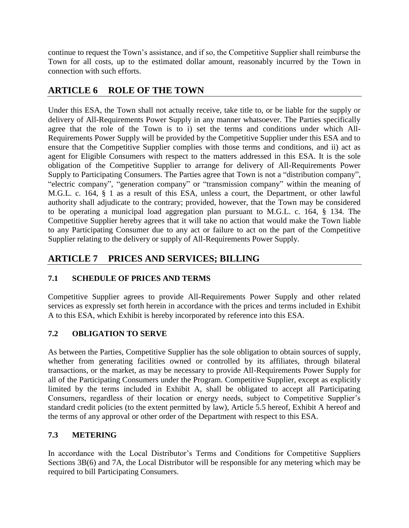continue to request the Town's assistance, and if so, the Competitive Supplier shall reimburse the Town for all costs, up to the estimated dollar amount, reasonably incurred by the Town in connection with such efforts.

## **ARTICLE 6 ROLE OF THE TOWN**

Under this ESA, the Town shall not actually receive, take title to, or be liable for the supply or delivery of All-Requirements Power Supply in any manner whatsoever. The Parties specifically agree that the role of the Town is to i) set the terms and conditions under which All-Requirements Power Supply will be provided by the Competitive Supplier under this ESA and to ensure that the Competitive Supplier complies with those terms and conditions, and ii) act as agent for Eligible Consumers with respect to the matters addressed in this ESA. It is the sole obligation of the Competitive Supplier to arrange for delivery of All-Requirements Power Supply to Participating Consumers. The Parties agree that Town is not a "distribution company", "electric company", "generation company" or "transmission company" within the meaning of M.G.L. c. 164, § 1 as a result of this ESA, unless a court, the Department, or other lawful authority shall adjudicate to the contrary; provided, however, that the Town may be considered to be operating a municipal load aggregation plan pursuant to M.G.L. c. 164, § 134. The Competitive Supplier hereby agrees that it will take no action that would make the Town liable to any Participating Consumer due to any act or failure to act on the part of the Competitive Supplier relating to the delivery or supply of All-Requirements Power Supply.

## **ARTICLE 7 PRICES AND SERVICES; BILLING**

## **7.1 SCHEDULE OF PRICES AND TERMS**

Competitive Supplier agrees to provide All-Requirements Power Supply and other related services as expressly set forth herein in accordance with the prices and terms included in Exhibit A to this ESA, which Exhibit is hereby incorporated by reference into this ESA.

## **7.2 OBLIGATION TO SERVE**

As between the Parties, Competitive Supplier has the sole obligation to obtain sources of supply, whether from generating facilities owned or controlled by its affiliates, through bilateral transactions, or the market, as may be necessary to provide All-Requirements Power Supply for all of the Participating Consumers under the Program. Competitive Supplier, except as explicitly limited by the terms included in Exhibit A, shall be obligated to accept all Participating Consumers, regardless of their location or energy needs, subject to Competitive Supplier's standard credit policies (to the extent permitted by law), Article 5.5 hereof, Exhibit A hereof and the terms of any approval or other order of the Department with respect to this ESA.

## **7.3 METERING**

In accordance with the Local Distributor's Terms and Conditions for Competitive Suppliers Sections 3B(6) and 7A, the Local Distributor will be responsible for any metering which may be required to bill Participating Consumers.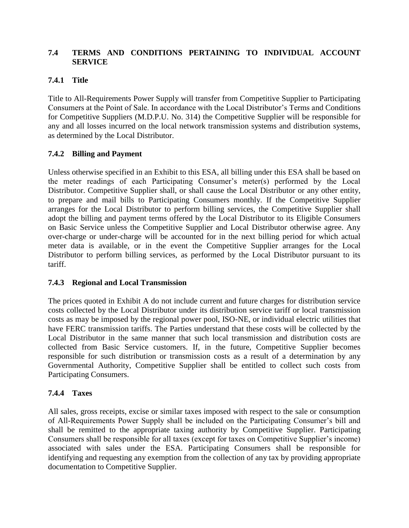### **7.4 TERMS AND CONDITIONS PERTAINING TO INDIVIDUAL ACCOUNT SERVICE**

## **7.4.1 Title**

Title to All-Requirements Power Supply will transfer from Competitive Supplier to Participating Consumers at the Point of Sale. In accordance with the Local Distributor's Terms and Conditions for Competitive Suppliers (M.D.P.U. No. 314) the Competitive Supplier will be responsible for any and all losses incurred on the local network transmission systems and distribution systems, as determined by the Local Distributor.

### **7.4.2 Billing and Payment**

Unless otherwise specified in an Exhibit to this ESA, all billing under this ESA shall be based on the meter readings of each Participating Consumer's meter(s) performed by the Local Distributor. Competitive Supplier shall, or shall cause the Local Distributor or any other entity, to prepare and mail bills to Participating Consumers monthly. If the Competitive Supplier arranges for the Local Distributor to perform billing services, the Competitive Supplier shall adopt the billing and payment terms offered by the Local Distributor to its Eligible Consumers on Basic Service unless the Competitive Supplier and Local Distributor otherwise agree. Any over-charge or under-charge will be accounted for in the next billing period for which actual meter data is available, or in the event the Competitive Supplier arranges for the Local Distributor to perform billing services, as performed by the Local Distributor pursuant to its tariff.

### **7.4.3 Regional and Local Transmission**

The prices quoted in Exhibit A do not include current and future charges for distribution service costs collected by the Local Distributor under its distribution service tariff or local transmission costs as may be imposed by the regional power pool, ISO-NE, or individual electric utilities that have FERC transmission tariffs. The Parties understand that these costs will be collected by the Local Distributor in the same manner that such local transmission and distribution costs are collected from Basic Service customers. If, in the future, Competitive Supplier becomes responsible for such distribution or transmission costs as a result of a determination by any Governmental Authority, Competitive Supplier shall be entitled to collect such costs from Participating Consumers.

### **7.4.4 Taxes**

All sales, gross receipts, excise or similar taxes imposed with respect to the sale or consumption of All-Requirements Power Supply shall be included on the Participating Consumer's bill and shall be remitted to the appropriate taxing authority by Competitive Supplier. Participating Consumers shall be responsible for all taxes (except for taxes on Competitive Supplier's income) associated with sales under the ESA. Participating Consumers shall be responsible for identifying and requesting any exemption from the collection of any tax by providing appropriate documentation to Competitive Supplier.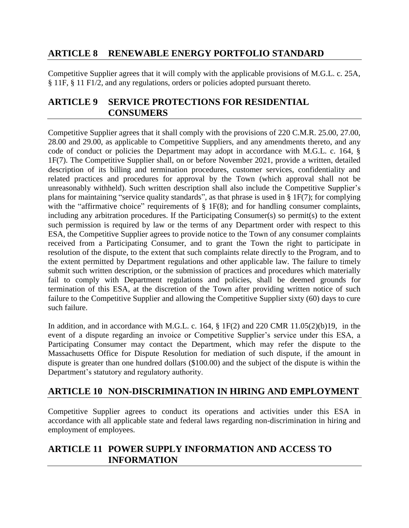## **ARTICLE 8 RENEWABLE ENERGY PORTFOLIO STANDARD**

Competitive Supplier agrees that it will comply with the applicable provisions of M.G.L. c. 25A, § 11F, § 11 F1/2, and any regulations, orders or policies adopted pursuant thereto.

## **ARTICLE 9 SERVICE PROTECTIONS FOR RESIDENTIAL CONSUMERS**

Competitive Supplier agrees that it shall comply with the provisions of 220 C.M.R. 25.00, 27.00, 28.00 and 29.00, as applicable to Competitive Suppliers, and any amendments thereto, and any code of conduct or policies the Department may adopt in accordance with M.G.L. c. 164, § 1F(7). The Competitive Supplier shall, on or before November 2021, provide a written, detailed description of its billing and termination procedures, customer services, confidentiality and related practices and procedures for approval by the Town (which approval shall not be unreasonably withheld). Such written description shall also include the Competitive Supplier's plans for maintaining "service quality standards", as that phrase is used in § 1F(7); for complying with the "affirmative choice" requirements of  $\S$  1F(8); and for handling consumer complaints, including any arbitration procedures. If the Participating Consumer(s) so permit(s) to the extent such permission is required by law or the terms of any Department order with respect to this ESA, the Competitive Supplier agrees to provide notice to the Town of any consumer complaints received from a Participating Consumer, and to grant the Town the right to participate in resolution of the dispute, to the extent that such complaints relate directly to the Program, and to the extent permitted by Department regulations and other applicable law. The failure to timely submit such written description, or the submission of practices and procedures which materially fail to comply with Department regulations and policies, shall be deemed grounds for termination of this ESA, at the discretion of the Town after providing written notice of such failure to the Competitive Supplier and allowing the Competitive Supplier sixty (60) days to cure such failure.

In addition, and in accordance with M.G.L. c. 164, § 1F(2) and 220 CMR 11.05(2)(b)19, in the event of a dispute regarding an invoice or Competitive Supplier's service under this ESA, a Participating Consumer may contact the Department, which may refer the dispute to the Massachusetts Office for Dispute Resolution for mediation of such dispute, if the amount in dispute is greater than one hundred dollars (\$100.00) and the subject of the dispute is within the Department's statutory and regulatory authority.

## **ARTICLE 10 NON-DISCRIMINATION IN HIRING AND EMPLOYMENT**

Competitive Supplier agrees to conduct its operations and activities under this ESA in accordance with all applicable state and federal laws regarding non-discrimination in hiring and employment of employees.

## **ARTICLE 11 POWER SUPPLY INFORMATION AND ACCESS TO INFORMATION**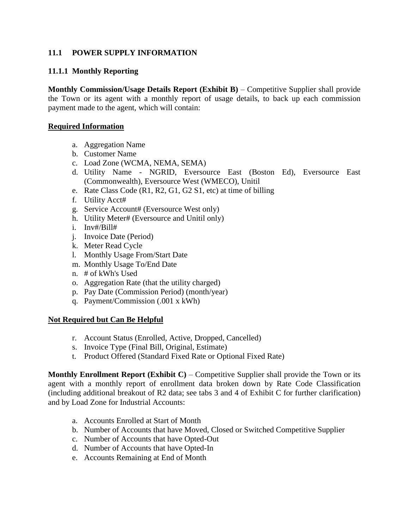### **11.1 POWER SUPPLY INFORMATION**

#### **11.1.1 Monthly Reporting**

**Monthly Commission/Usage Details Report (Exhibit B)** – Competitive Supplier shall provide the Town or its agent with a monthly report of usage details, to back up each commission payment made to the agent, which will contain:

#### **Required Information**

- a. Aggregation Name
- b. Customer Name
- c. Load Zone (WCMA, NEMA, SEMA)
- d. Utility Name NGRID, Eversource East (Boston Ed), Eversource East (Commonwealth), Eversource West (WMECO), Unitil
- e. Rate Class Code (R1, R2, G1, G2 S1, etc) at time of billing
- f. Utility Acct#
- g. Service Account# (Eversource West only)
- h. Utility Meter# (Eversource and Unitil only)
- i. Inv#/Bill#
- j. Invoice Date (Period)
- k. Meter Read Cycle
- l. Monthly Usage From/Start Date
- m. Monthly Usage To/End Date
- n. # of kWh's Used
- o. Aggregation Rate (that the utility charged)
- p. Pay Date (Commission Period) (month/year)
- q. Payment/Commission (.001 x kWh)

#### **Not Required but Can Be Helpful**

- r. Account Status (Enrolled, Active, Dropped, Cancelled)
- s. Invoice Type (Final Bill, Original, Estimate)
- t. Product Offered (Standard Fixed Rate or Optional Fixed Rate)

**Monthly Enrollment Report (Exhibit C)** – Competitive Supplier shall provide the Town or its agent with a monthly report of enrollment data broken down by Rate Code Classification (including additional breakout of R2 data; see tabs 3 and 4 of Exhibit C for further clarification) and by Load Zone for Industrial Accounts:

- a. Accounts Enrolled at Start of Month
- b. Number of Accounts that have Moved, Closed or Switched Competitive Supplier
- c. Number of Accounts that have Opted-Out
- d. Number of Accounts that have Opted-In
- e. Accounts Remaining at End of Month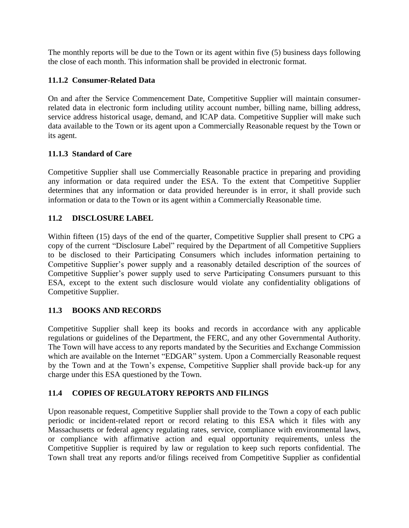The monthly reports will be due to the Town or its agent within five (5) business days following the close of each month. This information shall be provided in electronic format.

## **11.1.2 Consumer-Related Data**

On and after the Service Commencement Date, Competitive Supplier will maintain consumerrelated data in electronic form including utility account number, billing name, billing address, service address historical usage, demand, and ICAP data. Competitive Supplier will make such data available to the Town or its agent upon a Commercially Reasonable request by the Town or its agent.

## **11.1.3 Standard of Care**

Competitive Supplier shall use Commercially Reasonable practice in preparing and providing any information or data required under the ESA. To the extent that Competitive Supplier determines that any information or data provided hereunder is in error, it shall provide such information or data to the Town or its agent within a Commercially Reasonable time.

## **11.2 DISCLOSURE LABEL**

Within fifteen (15) days of the end of the quarter, Competitive Supplier shall present to CPG a copy of the current "Disclosure Label" required by the Department of all Competitive Suppliers to be disclosed to their Participating Consumers which includes information pertaining to Competitive Supplier's power supply and a reasonably detailed description of the sources of Competitive Supplier's power supply used to serve Participating Consumers pursuant to this ESA, except to the extent such disclosure would violate any confidentiality obligations of Competitive Supplier.

## **11.3 BOOKS AND RECORDS**

Competitive Supplier shall keep its books and records in accordance with any applicable regulations or guidelines of the Department, the FERC, and any other Governmental Authority. The Town will have access to any reports mandated by the Securities and Exchange Commission which are available on the Internet "EDGAR" system. Upon a Commercially Reasonable request by the Town and at the Town's expense, Competitive Supplier shall provide back-up for any charge under this ESA questioned by the Town.

## **11.4 COPIES OF REGULATORY REPORTS AND FILINGS**

Upon reasonable request, Competitive Supplier shall provide to the Town a copy of each public periodic or incident-related report or record relating to this ESA which it files with any Massachusetts or federal agency regulating rates, service, compliance with environmental laws, or compliance with affirmative action and equal opportunity requirements, unless the Competitive Supplier is required by law or regulation to keep such reports confidential. The Town shall treat any reports and/or filings received from Competitive Supplier as confidential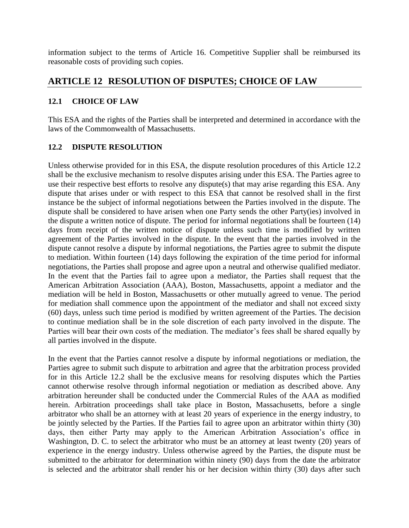information subject to the terms of Article 16. Competitive Supplier shall be reimbursed its reasonable costs of providing such copies.

## **ARTICLE 12 RESOLUTION OF DISPUTES; CHOICE OF LAW**

#### **12.1 CHOICE OF LAW**

This ESA and the rights of the Parties shall be interpreted and determined in accordance with the laws of the Commonwealth of Massachusetts.

#### **12.2 DISPUTE RESOLUTION**

Unless otherwise provided for in this ESA, the dispute resolution procedures of this Article 12.2 shall be the exclusive mechanism to resolve disputes arising under this ESA. The Parties agree to use their respective best efforts to resolve any dispute(s) that may arise regarding this ESA. Any dispute that arises under or with respect to this ESA that cannot be resolved shall in the first instance be the subject of informal negotiations between the Parties involved in the dispute. The dispute shall be considered to have arisen when one Party sends the other Party(ies) involved in the dispute a written notice of dispute. The period for informal negotiations shall be fourteen (14) days from receipt of the written notice of dispute unless such time is modified by written agreement of the Parties involved in the dispute. In the event that the parties involved in the dispute cannot resolve a dispute by informal negotiations, the Parties agree to submit the dispute to mediation. Within fourteen (14) days following the expiration of the time period for informal negotiations, the Parties shall propose and agree upon a neutral and otherwise qualified mediator. In the event that the Parties fail to agree upon a mediator, the Parties shall request that the American Arbitration Association (AAA), Boston, Massachusetts, appoint a mediator and the mediation will be held in Boston, Massachusetts or other mutually agreed to venue. The period for mediation shall commence upon the appointment of the mediator and shall not exceed sixty (60) days, unless such time period is modified by written agreement of the Parties. The decision to continue mediation shall be in the sole discretion of each party involved in the dispute. The Parties will bear their own costs of the mediation. The mediator's fees shall be shared equally by all parties involved in the dispute.

In the event that the Parties cannot resolve a dispute by informal negotiations or mediation, the Parties agree to submit such dispute to arbitration and agree that the arbitration process provided for in this Article 12.2 shall be the exclusive means for resolving disputes which the Parties cannot otherwise resolve through informal negotiation or mediation as described above. Any arbitration hereunder shall be conducted under the Commercial Rules of the AAA as modified herein. Arbitration proceedings shall take place in Boston, Massachusetts, before a single arbitrator who shall be an attorney with at least 20 years of experience in the energy industry, to be jointly selected by the Parties. If the Parties fail to agree upon an arbitrator within thirty (30) days, then either Party may apply to the American Arbitration Association's office in Washington, D. C. to select the arbitrator who must be an attorney at least twenty (20) years of experience in the energy industry. Unless otherwise agreed by the Parties, the dispute must be submitted to the arbitrator for determination within ninety (90) days from the date the arbitrator is selected and the arbitrator shall render his or her decision within thirty (30) days after such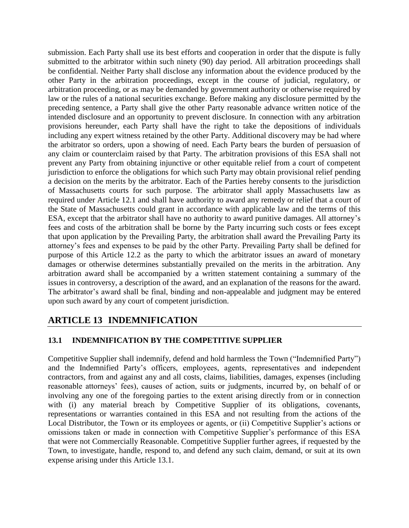submission. Each Party shall use its best efforts and cooperation in order that the dispute is fully submitted to the arbitrator within such ninety (90) day period. All arbitration proceedings shall be confidential. Neither Party shall disclose any information about the evidence produced by the other Party in the arbitration proceedings, except in the course of judicial, regulatory, or arbitration proceeding, or as may be demanded by government authority or otherwise required by law or the rules of a national securities exchange. Before making any disclosure permitted by the preceding sentence, a Party shall give the other Party reasonable advance written notice of the intended disclosure and an opportunity to prevent disclosure. In connection with any arbitration provisions hereunder, each Party shall have the right to take the depositions of individuals including any expert witness retained by the other Party. Additional discovery may be had where the arbitrator so orders, upon a showing of need. Each Party bears the burden of persuasion of any claim or counterclaim raised by that Party. The arbitration provisions of this ESA shall not prevent any Party from obtaining injunctive or other equitable relief from a court of competent jurisdiction to enforce the obligations for which such Party may obtain provisional relief pending a decision on the merits by the arbitrator. Each of the Parties hereby consents to the jurisdiction of Massachusetts courts for such purpose. The arbitrator shall apply Massachusetts law as required under Article 12.1 and shall have authority to award any remedy or relief that a court of the State of Massachusetts could grant in accordance with applicable law and the terms of this ESA, except that the arbitrator shall have no authority to award punitive damages. All attorney's fees and costs of the arbitration shall be borne by the Party incurring such costs or fees except that upon application by the Prevailing Party, the arbitration shall award the Prevailing Party its attorney's fees and expenses to be paid by the other Party. Prevailing Party shall be defined for purpose of this Article 12.2 as the party to which the arbitrator issues an award of monetary damages or otherwise determines substantially prevailed on the merits in the arbitration. Any arbitration award shall be accompanied by a written statement containing a summary of the issues in controversy, a description of the award, and an explanation of the reasons for the award. The arbitrator's award shall be final, binding and non-appealable and judgment may be entered upon such award by any court of competent jurisdiction.

## **ARTICLE 13 INDEMNIFICATION**

### **13.1 INDEMNIFICATION BY THE COMPETITIVE SUPPLIER**

Competitive Supplier shall indemnify, defend and hold harmless the Town ("Indemnified Party") and the Indemnified Party's officers, employees, agents, representatives and independent contractors, from and against any and all costs, claims, liabilities, damages, expenses (including reasonable attorneys' fees), causes of action, suits or judgments, incurred by, on behalf of or involving any one of the foregoing parties to the extent arising directly from or in connection with (i) any material breach by Competitive Supplier of its obligations, covenants, representations or warranties contained in this ESA and not resulting from the actions of the Local Distributor, the Town or its employees or agents, or (ii) Competitive Supplier's actions or omissions taken or made in connection with Competitive Supplier's performance of this ESA that were not Commercially Reasonable. Competitive Supplier further agrees, if requested by the Town, to investigate, handle, respond to, and defend any such claim, demand, or suit at its own expense arising under this Article 13.1.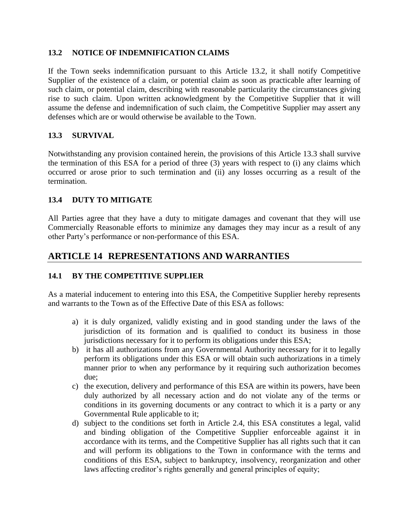#### **13.2 NOTICE OF INDEMNIFICATION CLAIMS**

If the Town seeks indemnification pursuant to this Article 13.2, it shall notify Competitive Supplier of the existence of a claim, or potential claim as soon as practicable after learning of such claim, or potential claim, describing with reasonable particularity the circumstances giving rise to such claim. Upon written acknowledgment by the Competitive Supplier that it will assume the defense and indemnification of such claim, the Competitive Supplier may assert any defenses which are or would otherwise be available to the Town.

### **13.3 SURVIVAL**

Notwithstanding any provision contained herein, the provisions of this Article 13.3 shall survive the termination of this ESA for a period of three (3) years with respect to (i) any claims which occurred or arose prior to such termination and (ii) any losses occurring as a result of the termination.

### **13.4 DUTY TO MITIGATE**

All Parties agree that they have a duty to mitigate damages and covenant that they will use Commercially Reasonable efforts to minimize any damages they may incur as a result of any other Party's performance or non-performance of this ESA.

## **ARTICLE 14 REPRESENTATIONS AND WARRANTIES**

### **14.1 BY THE COMPETITIVE SUPPLIER**

As a material inducement to entering into this ESA, the Competitive Supplier hereby represents and warrants to the Town as of the Effective Date of this ESA as follows:

- a) it is duly organized, validly existing and in good standing under the laws of the jurisdiction of its formation and is qualified to conduct its business in those jurisdictions necessary for it to perform its obligations under this ESA;
- b) it has all authorizations from any Governmental Authority necessary for it to legally perform its obligations under this ESA or will obtain such authorizations in a timely manner prior to when any performance by it requiring such authorization becomes due;
- c) the execution, delivery and performance of this ESA are within its powers, have been duly authorized by all necessary action and do not violate any of the terms or conditions in its governing documents or any contract to which it is a party or any Governmental Rule applicable to it;
- d) subject to the conditions set forth in Article 2.4, this ESA constitutes a legal, valid and binding obligation of the Competitive Supplier enforceable against it in accordance with its terms, and the Competitive Supplier has all rights such that it can and will perform its obligations to the Town in conformance with the terms and conditions of this ESA, subject to bankruptcy, insolvency, reorganization and other laws affecting creditor's rights generally and general principles of equity;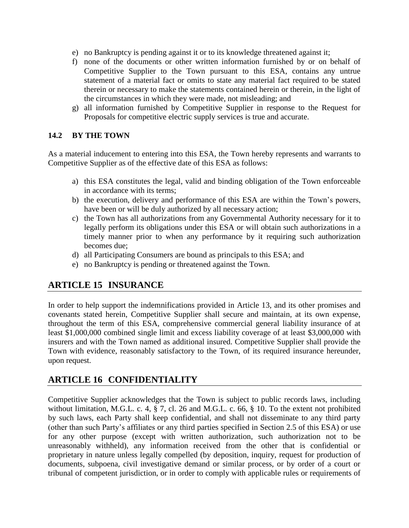- e) no Bankruptcy is pending against it or to its knowledge threatened against it;
- f) none of the documents or other written information furnished by or on behalf of Competitive Supplier to the Town pursuant to this ESA, contains any untrue statement of a material fact or omits to state any material fact required to be stated therein or necessary to make the statements contained herein or therein, in the light of the circumstances in which they were made, not misleading; and
- g) all information furnished by Competitive Supplier in response to the Request for Proposals for competitive electric supply services is true and accurate.

### **14.2 BY THE TOWN**

As a material inducement to entering into this ESA, the Town hereby represents and warrants to Competitive Supplier as of the effective date of this ESA as follows:

- a) this ESA constitutes the legal, valid and binding obligation of the Town enforceable in accordance with its terms;
- b) the execution, delivery and performance of this ESA are within the Town's powers, have been or will be duly authorized by all necessary action;
- c) the Town has all authorizations from any Governmental Authority necessary for it to legally perform its obligations under this ESA or will obtain such authorizations in a timely manner prior to when any performance by it requiring such authorization becomes due;
- d) all Participating Consumers are bound as principals to this ESA; and
- e) no Bankruptcy is pending or threatened against the Town.

## **ARTICLE 15 INSURANCE**

In order to help support the indemnifications provided in Article 13, and its other promises and covenants stated herein, Competitive Supplier shall secure and maintain, at its own expense, throughout the term of this ESA, comprehensive commercial general liability insurance of at least \$1,000,000 combined single limit and excess liability coverage of at least \$3,000,000 with insurers and with the Town named as additional insured. Competitive Supplier shall provide the Town with evidence, reasonably satisfactory to the Town, of its required insurance hereunder, upon request.

## **ARTICLE 16 CONFIDENTIALITY**

Competitive Supplier acknowledges that the Town is subject to public records laws, including without limitation, M.G.L. c. 4, § 7, cl. 26 and M.G.L. c. 66, § 10. To the extent not prohibited by such laws, each Party shall keep confidential, and shall not disseminate to any third party (other than such Party's affiliates or any third parties specified in Section 2.5 of this ESA) or use for any other purpose (except with written authorization, such authorization not to be unreasonably withheld), any information received from the other that is confidential or proprietary in nature unless legally compelled (by deposition, inquiry, request for production of documents, subpoena, civil investigative demand or similar process, or by order of a court or tribunal of competent jurisdiction, or in order to comply with applicable rules or requirements of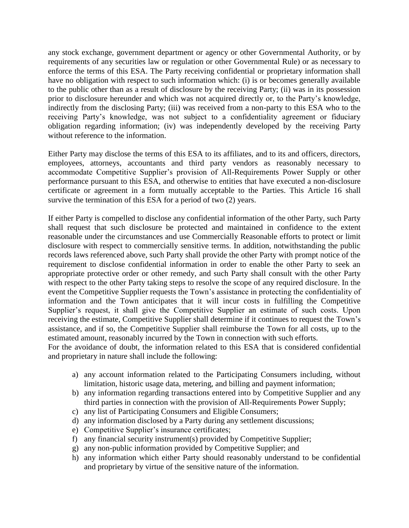any stock exchange, government department or agency or other Governmental Authority, or by requirements of any securities law or regulation or other Governmental Rule) or as necessary to enforce the terms of this ESA. The Party receiving confidential or proprietary information shall have no obligation with respect to such information which: (i) is or becomes generally available to the public other than as a result of disclosure by the receiving Party; (ii) was in its possession prior to disclosure hereunder and which was not acquired directly or, to the Party's knowledge, indirectly from the disclosing Party; (iii) was received from a non-party to this ESA who to the receiving Party's knowledge, was not subject to a confidentiality agreement or fiduciary obligation regarding information; (iv) was independently developed by the receiving Party without reference to the information.

Either Party may disclose the terms of this ESA to its affiliates, and to its and officers, directors, employees, attorneys, accountants and third party vendors as reasonably necessary to accommodate Competitive Supplier's provision of All-Requirements Power Supply or other performance pursuant to this ESA, and otherwise to entities that have executed a non-disclosure certificate or agreement in a form mutually acceptable to the Parties. This Article 16 shall survive the termination of this ESA for a period of two (2) years.

If either Party is compelled to disclose any confidential information of the other Party, such Party shall request that such disclosure be protected and maintained in confidence to the extent reasonable under the circumstances and use Commercially Reasonable efforts to protect or limit disclosure with respect to commercially sensitive terms. In addition, notwithstanding the public records laws referenced above, such Party shall provide the other Party with prompt notice of the requirement to disclose confidential information in order to enable the other Party to seek an appropriate protective order or other remedy, and such Party shall consult with the other Party with respect to the other Party taking steps to resolve the scope of any required disclosure. In the event the Competitive Supplier requests the Town's assistance in protecting the confidentiality of information and the Town anticipates that it will incur costs in fulfilling the Competitive Supplier's request, it shall give the Competitive Supplier an estimate of such costs. Upon receiving the estimate, Competitive Supplier shall determine if it continues to request the Town's assistance, and if so, the Competitive Supplier shall reimburse the Town for all costs, up to the estimated amount, reasonably incurred by the Town in connection with such efforts.

For the avoidance of doubt, the information related to this ESA that is considered confidential and proprietary in nature shall include the following:

- a) any account information related to the Participating Consumers including, without limitation, historic usage data, metering, and billing and payment information;
- b) any information regarding transactions entered into by Competitive Supplier and any third parties in connection with the provision of All-Requirements Power Supply;
- c) any list of Participating Consumers and Eligible Consumers;
- d) any information disclosed by a Party during any settlement discussions;
- e) Competitive Supplier's insurance certificates;
- f) any financial security instrument(s) provided by Competitive Supplier;
- g) any non-public information provided by Competitive Supplier; and
- h) any information which either Party should reasonably understand to be confidential and proprietary by virtue of the sensitive nature of the information.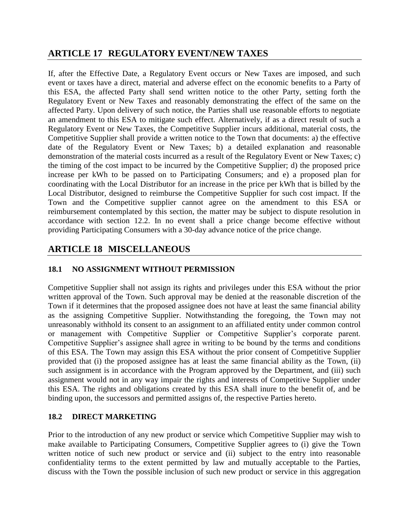## **ARTICLE 17 REGULATORY EVENT/NEW TAXES**

If, after the Effective Date, a Regulatory Event occurs or New Taxes are imposed, and such event or taxes have a direct, material and adverse effect on the economic benefits to a Party of this ESA, the affected Party shall send written notice to the other Party, setting forth the Regulatory Event or New Taxes and reasonably demonstrating the effect of the same on the affected Party. Upon delivery of such notice, the Parties shall use reasonable efforts to negotiate an amendment to this ESA to mitigate such effect. Alternatively, if as a direct result of such a Regulatory Event or New Taxes, the Competitive Supplier incurs additional, material costs, the Competitive Supplier shall provide a written notice to the Town that documents: a) the effective date of the Regulatory Event or New Taxes; b) a detailed explanation and reasonable demonstration of the material costs incurred as a result of the Regulatory Event or New Taxes; c) the timing of the cost impact to be incurred by the Competitive Supplier; d) the proposed price increase per kWh to be passed on to Participating Consumers; and e) a proposed plan for coordinating with the Local Distributor for an increase in the price per kWh that is billed by the Local Distributor, designed to reimburse the Competitive Supplier for such cost impact. If the Town and the Competitive supplier cannot agree on the amendment to this ESA or reimbursement contemplated by this section, the matter may be subject to dispute resolution in accordance with section 12.2. In no event shall a price change become effective without providing Participating Consumers with a 30-day advance notice of the price change.

## **ARTICLE 18 MISCELLANEOUS**

## **18.1 NO ASSIGNMENT WITHOUT PERMISSION**

Competitive Supplier shall not assign its rights and privileges under this ESA without the prior written approval of the Town. Such approval may be denied at the reasonable discretion of the Town if it determines that the proposed assignee does not have at least the same financial ability as the assigning Competitive Supplier. Notwithstanding the foregoing, the Town may not unreasonably withhold its consent to an assignment to an affiliated entity under common control or management with Competitive Supplier or Competitive Supplier's corporate parent. Competitive Supplier's assignee shall agree in writing to be bound by the terms and conditions of this ESA. The Town may assign this ESA without the prior consent of Competitive Supplier provided that (i) the proposed assignee has at least the same financial ability as the Town, (ii) such assignment is in accordance with the Program approved by the Department, and (iii) such assignment would not in any way impair the rights and interests of Competitive Supplier under this ESA. The rights and obligations created by this ESA shall inure to the benefit of, and be binding upon, the successors and permitted assigns of, the respective Parties hereto.

### **18.2 DIRECT MARKETING**

Prior to the introduction of any new product or service which Competitive Supplier may wish to make available to Participating Consumers, Competitive Supplier agrees to (i) give the Town written notice of such new product or service and (ii) subject to the entry into reasonable confidentiality terms to the extent permitted by law and mutually acceptable to the Parties, discuss with the Town the possible inclusion of such new product or service in this aggregation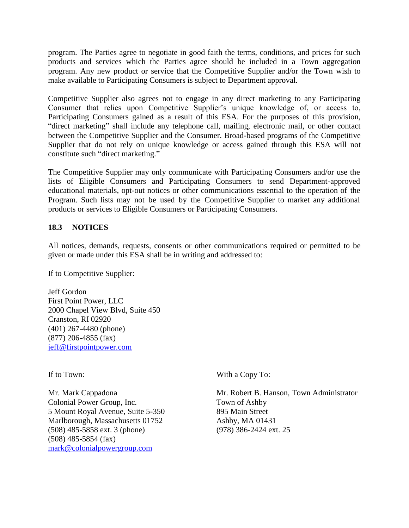program. The Parties agree to negotiate in good faith the terms, conditions, and prices for such products and services which the Parties agree should be included in a Town aggregation program. Any new product or service that the Competitive Supplier and/or the Town wish to make available to Participating Consumers is subject to Department approval.

Competitive Supplier also agrees not to engage in any direct marketing to any Participating Consumer that relies upon Competitive Supplier's unique knowledge of, or access to, Participating Consumers gained as a result of this ESA. For the purposes of this provision, "direct marketing" shall include any telephone call, mailing, electronic mail, or other contact between the Competitive Supplier and the Consumer. Broad-based programs of the Competitive Supplier that do not rely on unique knowledge or access gained through this ESA will not constitute such "direct marketing."

The Competitive Supplier may only communicate with Participating Consumers and/or use the lists of Eligible Consumers and Participating Consumers to send Department-approved educational materials, opt-out notices or other communications essential to the operation of the Program. Such lists may not be used by the Competitive Supplier to market any additional products or services to Eligible Consumers or Participating Consumers.

### **18.3 NOTICES**

All notices, demands, requests, consents or other communications required or permitted to be given or made under this ESA shall be in writing and addressed to:

If to Competitive Supplier:

Jeff Gordon First Point Power, LLC 2000 Chapel View Blvd, Suite 450 Cranston, RI 02920 (401) 267-4480 (phone) (877) 206-4855 (fax) jeff@firstpointpower.com

Colonial Power Group, Inc. Town of Ashby 5 Mount Royal Avenue, Suite 5-350 895 Main Street Marlborough, Massachusetts 01752 Ashby, MA 01431 (508) 485-5858 ext. 3 (phone) (978) 386-2424 ext. 25 (508) 485-5854 (fax) mark@colonialpowergroup.com

If to Town: With a Copy To:

Mr. Mark Cappadona Mr. Robert B. Hanson, Town Administrator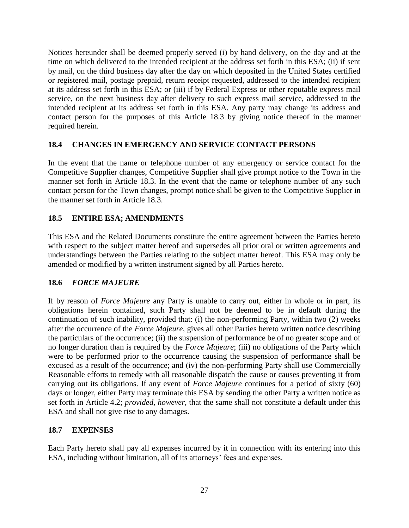Notices hereunder shall be deemed properly served (i) by hand delivery, on the day and at the time on which delivered to the intended recipient at the address set forth in this ESA; (ii) if sent by mail, on the third business day after the day on which deposited in the United States certified or registered mail, postage prepaid, return receipt requested, addressed to the intended recipient at its address set forth in this ESA; or (iii) if by Federal Express or other reputable express mail service, on the next business day after delivery to such express mail service, addressed to the intended recipient at its address set forth in this ESA. Any party may change its address and contact person for the purposes of this Article 18.3 by giving notice thereof in the manner required herein.

### **18.4 CHANGES IN EMERGENCY AND SERVICE CONTACT PERSONS**

In the event that the name or telephone number of any emergency or service contact for the Competitive Supplier changes, Competitive Supplier shall give prompt notice to the Town in the manner set forth in Article 18.3. In the event that the name or telephone number of any such contact person for the Town changes, prompt notice shall be given to the Competitive Supplier in the manner set forth in Article 18.3.

### **18.5 ENTIRE ESA; AMENDMENTS**

This ESA and the Related Documents constitute the entire agreement between the Parties hereto with respect to the subject matter hereof and supersedes all prior oral or written agreements and understandings between the Parties relating to the subject matter hereof. This ESA may only be amended or modified by a written instrument signed by all Parties hereto.

### **18.6** *FORCE MAJEURE*

If by reason of *Force Majeure* any Party is unable to carry out, either in whole or in part, its obligations herein contained, such Party shall not be deemed to be in default during the continuation of such inability, provided that: (i) the non-performing Party, within two (2) weeks after the occurrence of the *Force Majeure*, gives all other Parties hereto written notice describing the particulars of the occurrence; (ii) the suspension of performance be of no greater scope and of no longer duration than is required by the *Force Majeure*; (iii) no obligations of the Party which were to be performed prior to the occurrence causing the suspension of performance shall be excused as a result of the occurrence; and (iv) the non-performing Party shall use Commercially Reasonable efforts to remedy with all reasonable dispatch the cause or causes preventing it from carrying out its obligations. If any event of *Force Majeure* continues for a period of sixty (60) days or longer, either Party may terminate this ESA by sending the other Party a written notice as set forth in Article 4.2; *provided, however*, that the same shall not constitute a default under this ESA and shall not give rise to any damages.

### **18.7 EXPENSES**

Each Party hereto shall pay all expenses incurred by it in connection with its entering into this ESA, including without limitation, all of its attorneys' fees and expenses.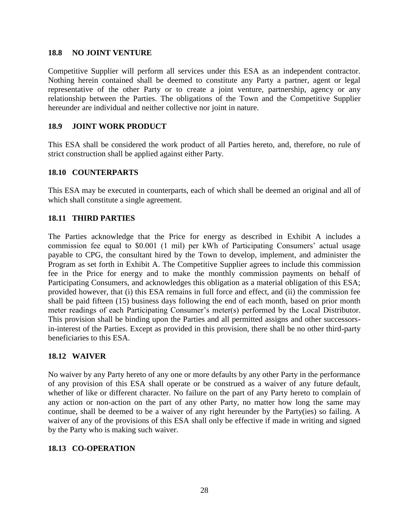#### **18.8 NO JOINT VENTURE**

Competitive Supplier will perform all services under this ESA as an independent contractor. Nothing herein contained shall be deemed to constitute any Party a partner, agent or legal representative of the other Party or to create a joint venture, partnership, agency or any relationship between the Parties. The obligations of the Town and the Competitive Supplier hereunder are individual and neither collective nor joint in nature.

### **18.9 JOINT WORK PRODUCT**

This ESA shall be considered the work product of all Parties hereto, and, therefore, no rule of strict construction shall be applied against either Party.

#### **18.10 COUNTERPARTS**

This ESA may be executed in counterparts, each of which shall be deemed an original and all of which shall constitute a single agreement.

### **18.11 THIRD PARTIES**

The Parties acknowledge that the Price for energy as described in Exhibit A includes a commission fee equal to \$0.001 (1 mil) per kWh of Participating Consumers' actual usage payable to CPG, the consultant hired by the Town to develop, implement, and administer the Program as set forth in Exhibit A. The Competitive Supplier agrees to include this commission fee in the Price for energy and to make the monthly commission payments on behalf of Participating Consumers, and acknowledges this obligation as a material obligation of this ESA; provided however, that (i) this ESA remains in full force and effect, and (ii) the commission fee shall be paid fifteen (15) business days following the end of each month, based on prior month meter readings of each Participating Consumer's meter(s) performed by the Local Distributor. This provision shall be binding upon the Parties and all permitted assigns and other successorsin-interest of the Parties. Except as provided in this provision, there shall be no other third-party beneficiaries to this ESA.

#### **18.12 WAIVER**

No waiver by any Party hereto of any one or more defaults by any other Party in the performance of any provision of this ESA shall operate or be construed as a waiver of any future default, whether of like or different character. No failure on the part of any Party hereto to complain of any action or non-action on the part of any other Party, no matter how long the same may continue, shall be deemed to be a waiver of any right hereunder by the Party(ies) so failing. A waiver of any of the provisions of this ESA shall only be effective if made in writing and signed by the Party who is making such waiver.

### **18.13 CO-OPERATION**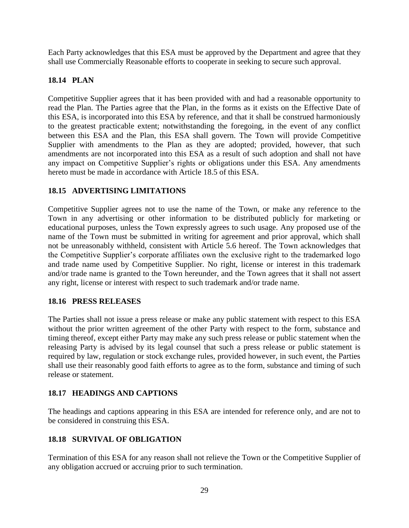Each Party acknowledges that this ESA must be approved by the Department and agree that they shall use Commercially Reasonable efforts to cooperate in seeking to secure such approval.

### **18.14 PLAN**

Competitive Supplier agrees that it has been provided with and had a reasonable opportunity to read the Plan. The Parties agree that the Plan, in the forms as it exists on the Effective Date of this ESA, is incorporated into this ESA by reference, and that it shall be construed harmoniously to the greatest practicable extent; notwithstanding the foregoing, in the event of any conflict between this ESA and the Plan, this ESA shall govern. The Town will provide Competitive Supplier with amendments to the Plan as they are adopted; provided, however, that such amendments are not incorporated into this ESA as a result of such adoption and shall not have any impact on Competitive Supplier's rights or obligations under this ESA. Any amendments hereto must be made in accordance with Article 18.5 of this ESA.

### **18.15 ADVERTISING LIMITATIONS**

Competitive Supplier agrees not to use the name of the Town, or make any reference to the Town in any advertising or other information to be distributed publicly for marketing or educational purposes, unless the Town expressly agrees to such usage. Any proposed use of the name of the Town must be submitted in writing for agreement and prior approval, which shall not be unreasonably withheld, consistent with Article 5.6 hereof. The Town acknowledges that the Competitive Supplier's corporate affiliates own the exclusive right to the trademarked logo and trade name used by Competitive Supplier. No right, license or interest in this trademark and/or trade name is granted to the Town hereunder, and the Town agrees that it shall not assert any right, license or interest with respect to such trademark and/or trade name.

### **18.16 PRESS RELEASES**

The Parties shall not issue a press release or make any public statement with respect to this ESA without the prior written agreement of the other Party with respect to the form, substance and timing thereof, except either Party may make any such press release or public statement when the releasing Party is advised by its legal counsel that such a press release or public statement is required by law, regulation or stock exchange rules, provided however, in such event, the Parties shall use their reasonably good faith efforts to agree as to the form, substance and timing of such release or statement.

### **18.17 HEADINGS AND CAPTIONS**

The headings and captions appearing in this ESA are intended for reference only, and are not to be considered in construing this ESA.

### **18.18 SURVIVAL OF OBLIGATION**

Termination of this ESA for any reason shall not relieve the Town or the Competitive Supplier of any obligation accrued or accruing prior to such termination.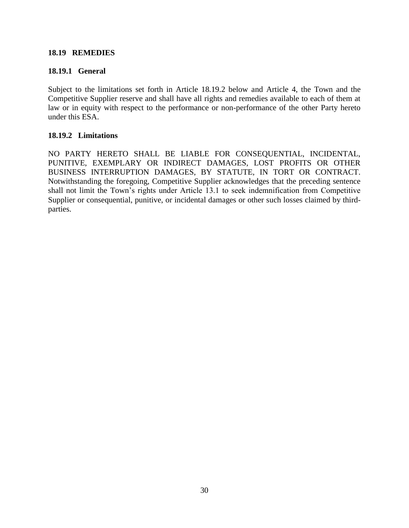#### **18.19 REMEDIES**

#### **18.19.1 General**

Subject to the limitations set forth in Article 18.19.2 below and Article 4, the Town and the Competitive Supplier reserve and shall have all rights and remedies available to each of them at law or in equity with respect to the performance or non-performance of the other Party hereto under this ESA.

#### **18.19.2 Limitations**

NO PARTY HERETO SHALL BE LIABLE FOR CONSEQUENTIAL, INCIDENTAL, PUNITIVE, EXEMPLARY OR INDIRECT DAMAGES, LOST PROFITS OR OTHER BUSINESS INTERRUPTION DAMAGES, BY STATUTE, IN TORT OR CONTRACT. Notwithstanding the foregoing, Competitive Supplier acknowledges that the preceding sentence shall not limit the Town's rights under Article 13.1 to seek indemnification from Competitive Supplier or consequential, punitive, or incidental damages or other such losses claimed by thirdparties.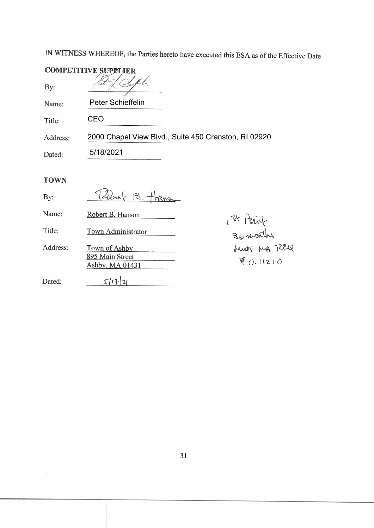IN WITNESS WHEREOF, the Parties hereto have executed this ESA as of the Effective Date

| <b>COMPETITIVE SUPPLIER</b> |                                                                            |  |
|-----------------------------|----------------------------------------------------------------------------|--|
| By:                         |                                                                            |  |
| Name:                       | <b>Peter Schieffelin</b>                                                   |  |
| Title:                      | CEO                                                                        |  |
| Address:                    | 2000 Chapel View Blvd., Suite 450 Cranston, RI 02920                       |  |
| Dated:                      | 5/18/2021                                                                  |  |
| <b>TOWN</b>                 |                                                                            |  |
| By:                         | $\beta$ .                                                                  |  |
| Name:                       | Robert B. Hanson                                                           |  |
| Title:                      | 1 <sup>84</sup> Point<br>36 nuorths<br>Meets MA 722Q<br>Town Administrator |  |
| Address:                    | Town of Ashby<br>895 Main Street<br>\$0.11210<br>Ashby, MA 01431           |  |
| Dated:                      | 5117                                                                       |  |

 $\mathbf{j}$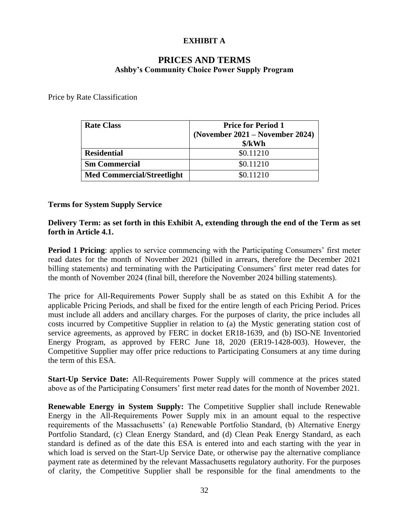### **EXHIBIT A**

## **PRICES AND TERMS Ashby's Community Choice Power Supply Program**

Price by Rate Classification

| <b>Rate Class</b>                 | <b>Price for Period 1</b><br>(November 2021 – November 2024)<br>$\frac{\delta}{kWh}$ |
|-----------------------------------|--------------------------------------------------------------------------------------|
| <b>Residential</b>                | \$0.11210                                                                            |
| <b>Sm Commercial</b>              | \$0.11210                                                                            |
| <b>Med Commercial/Streetlight</b> | \$0.11210                                                                            |

#### **Terms for System Supply Service**

#### **Delivery Term: as set forth in this Exhibit A, extending through the end of the Term as set forth in Article 4.1.**

**Period 1 Pricing**: applies to service commencing with the Participating Consumers' first meter read dates for the month of November 2021 (billed in arrears, therefore the December 2021 billing statements) and terminating with the Participating Consumers' first meter read dates for the month of November 2024 (final bill, therefore the November 2024 billing statements).

The price for All-Requirements Power Supply shall be as stated on this Exhibit A for the applicable Pricing Periods, and shall be fixed for the entire length of each Pricing Period. Prices must include all adders and ancillary charges. For the purposes of clarity, the price includes all costs incurred by Competitive Supplier in relation to (a) the Mystic generating station cost of service agreements, as approved by FERC in docket ER18-1639, and (b) ISO-NE Inventoried Energy Program, as approved by FERC June 18, 2020 (ER19-1428-003). However, the Competitive Supplier may offer price reductions to Participating Consumers at any time during the term of this ESA.

**Start-Up Service Date:** All-Requirements Power Supply will commence at the prices stated above as of the Participating Consumers' first meter read dates for the month of November 2021.

**Renewable Energy in System Supply:** The Competitive Supplier shall include Renewable Energy in the All-Requirements Power Supply mix in an amount equal to the respective requirements of the Massachusetts' (a) Renewable Portfolio Standard, (b) Alternative Energy Portfolio Standard, (c) Clean Energy Standard, and (d) Clean Peak Energy Standard, as each standard is defined as of the date this ESA is entered into and each starting with the year in which load is served on the Start-Up Service Date, or otherwise pay the alternative compliance payment rate as determined by the relevant Massachusetts regulatory authority. For the purposes of clarity, the Competitive Supplier shall be responsible for the final amendments to the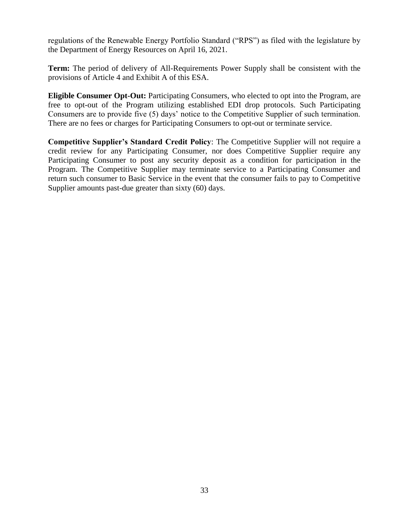regulations of the Renewable Energy Portfolio Standard ("RPS") as filed with the legislature by the Department of Energy Resources on April 16, 2021.

**Term:** The period of delivery of All-Requirements Power Supply shall be consistent with the provisions of Article 4 and Exhibit A of this ESA.

**Eligible Consumer Opt-Out:** Participating Consumers, who elected to opt into the Program, are free to opt-out of the Program utilizing established EDI drop protocols. Such Participating Consumers are to provide five (5) days' notice to the Competitive Supplier of such termination. There are no fees or charges for Participating Consumers to opt-out or terminate service.

**Competitive Supplier's Standard Credit Policy**: The Competitive Supplier will not require a credit review for any Participating Consumer, nor does Competitive Supplier require any Participating Consumer to post any security deposit as a condition for participation in the Program. The Competitive Supplier may terminate service to a Participating Consumer and return such consumer to Basic Service in the event that the consumer fails to pay to Competitive Supplier amounts past-due greater than sixty (60) days.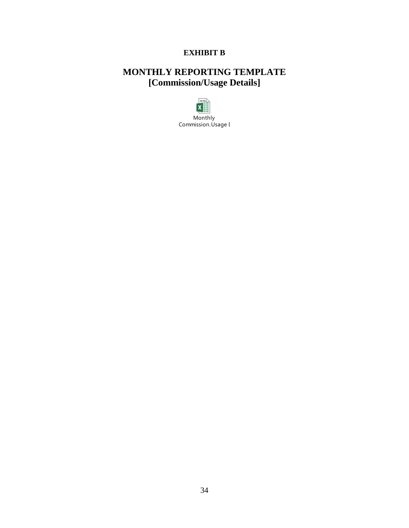## **EXHIBIT B**

# **MONTHLY REPORTING TEMPLATE [Commission/Usage Details]**

 $\sim$  $x \equiv$ Monthly Commission.Usage I